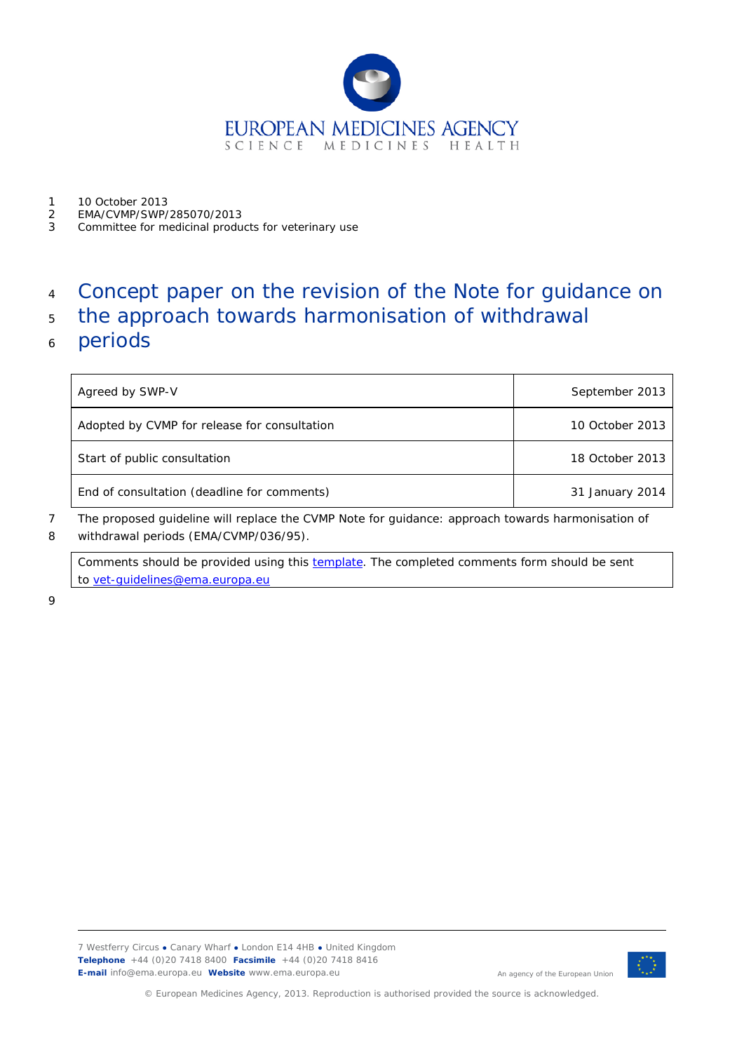

- 1 10 October 2013<br>2 EMA/CVMP/SWP/
- 2 EMA/CVMP/SWP/285070/2013
- 3 Committee for medicinal products for veterinary use

# <sup>4</sup> Concept paper on the revision of the Note for guidance on

- <sup>5</sup> the approach towards harmonisation of withdrawal
- <sup>6</sup> periods

| Agreed by SWP-V                              | September 2013  |
|----------------------------------------------|-----------------|
| Adopted by CVMP for release for consultation | 10 October 2013 |
| Start of public consultation                 | 18 October 2013 |
| End of consultation (deadline for comments)  | 31 January 2014 |

7 The proposed guideline will replace the CVMP Note for guidance: approach towards harmonisation of 8 withdrawal periods (EMA/CVMP/036/95).

Comments should be provided using this **template**. The completed comments form should be sent to [vet-guidelines@ema.europa.eu](mailto:vet-guidelines@ema.europa.eu)

9



An agency of the European Union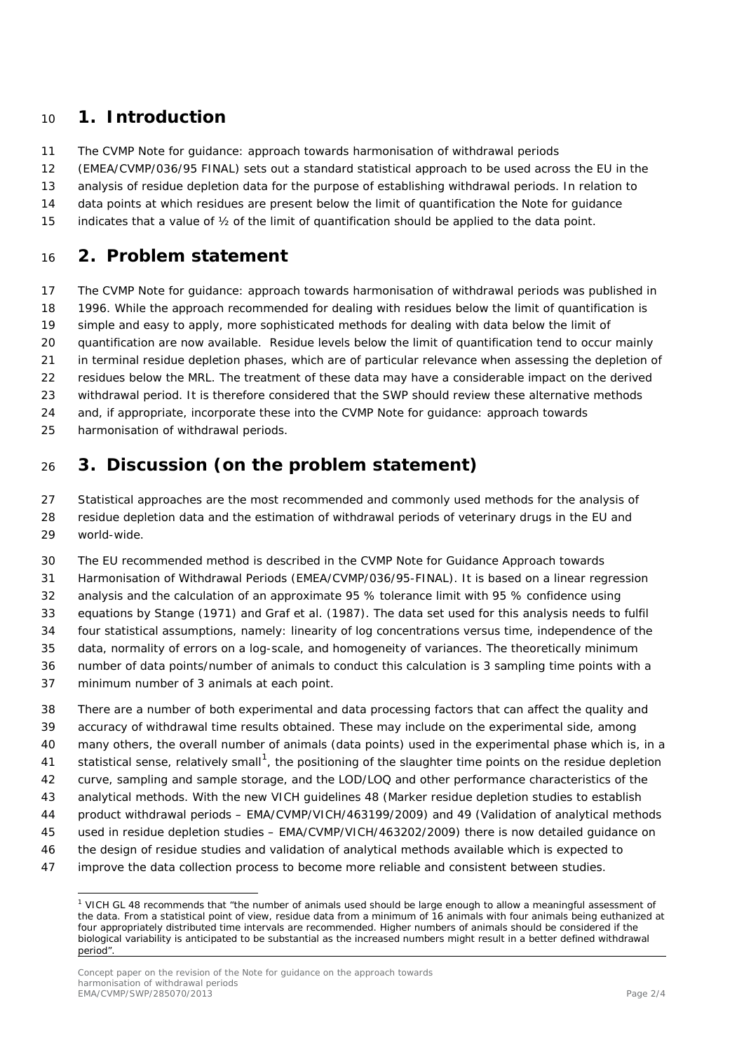## **1. Introduction**

- The CVMP Note for guidance: approach towards harmonisation of withdrawal periods
- (EMEA/CVMP/036/95 FINAL) sets out a standard statistical approach to be used across the EU in the
- analysis of residue depletion data for the purpose of establishing withdrawal periods. In relation to
- data points at which residues are present below the limit of quantification the Note for guidance
- indicates that a value of ½ of the limit of quantification should be applied to the data point.

## **2. Problem statement**

 The CVMP Note for guidance: approach towards harmonisation of withdrawal periods was published in 1996. While the approach recommended for dealing with residues below the limit of quantification is simple and easy to apply, more sophisticated methods for dealing with data below the limit of quantification are now available. Residue levels below the limit of quantification tend to occur mainly in terminal residue depletion phases, which are of particular relevance when assessing the depletion of residues below the MRL. The treatment of these data may have a considerable impact on the derived withdrawal period. It is therefore considered that the SWP should review these alternative methods and, if appropriate, incorporate these into the CVMP Note for guidance: approach towards harmonisation of withdrawal periods.

# **3. Discussion (on the problem statement)**

 Statistical approaches are the most recommended and commonly used methods for the analysis of residue depletion data and the estimation of withdrawal periods of veterinary drugs in the EU and world-wide.

The EU recommended method is described in the CVMP Note for Guidance Approach towards

Harmonisation of Withdrawal Periods (EMEA/CVMP/036/95-FINAL). It is based on a linear regression

analysis and the calculation of an approximate 95 % tolerance limit with 95 % confidence using

equations by Stange (1971) and Graf et al. (1987). The data set used for this analysis needs to fulfil

four statistical assumptions, namely: linearity of log concentrations versus time, independence of the

- data, normality of errors on a log-scale, and homogeneity of variances. The theoretically minimum
- number of data points/number of animals to conduct this calculation is 3 sampling time points with a
- minimum number of 3 animals at each point.
- There are a number of both experimental and data processing factors that can affect the quality and accuracy of withdrawal time results obtained. These may include on the experimental side, among many others, the overall number of animals (data points) used in the experimental phase which is, in a [1](#page-1-0) statistical sense, relatively small<sup>1</sup>, the positioning of the slaughter time points on the residue depletion curve, sampling and sample storage, and the LOD/LOQ and other performance characteristics of the analytical methods. With the new VICH guidelines 48 (Marker residue depletion studies to establish product withdrawal periods – EMA/CVMP/VICH/463199/2009) and 49 (Validation of analytical methods used in residue depletion studies – EMA/CVMP/VICH/463202/2009) there is now detailed guidance on the design of residue studies and validation of analytical methods available which is expected to improve the data collection process to become more reliable and consistent between studies.

<span id="page-1-0"></span><sup>&</sup>lt;sup>1</sup> VICH GL 48 recommends that "the number of animals used should be large enough to allow a meaningful assessment of the data. From a statistical point of view, residue data from a minimum of 16 animals with four animals being euthanized at four appropriately distributed time intervals are recommended. Higher numbers of animals should be considered if the biological variability is anticipated to be substantial as the increased numbers might result in a better defined withdrawal period".

Concept paper on the revision of the Note for guidance on the approach towards harmonisation of withdrawal periods EMA/CVMP/SWP/285070/2013 Page 2/4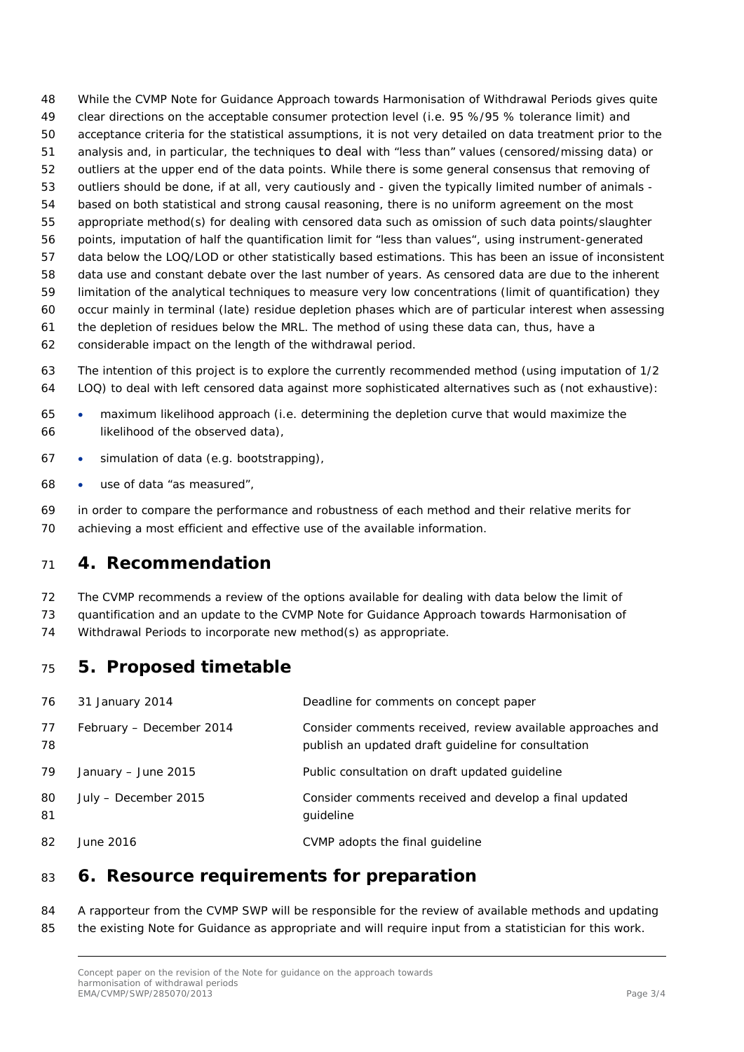While the CVMP Note for Guidance Approach towards Harmonisation of Withdrawal Periods gives quite clear directions on the acceptable consumer protection level (i.e. 95 %/95 % tolerance limit) and acceptance criteria for the statistical assumptions, it is not very detailed on data treatment prior to the analysis and, in particular, the techniques to deal with "less than" values (censored/missing data) or outliers at the upper end of the data points. While there is some general consensus that removing of outliers should be done, if at all, very cautiously and - given the typically limited number of animals - based on both statistical and strong causal reasoning, there is no uniform agreement on the most appropriate method(s) for dealing with censored data such as omission of such data points/slaughter points, imputation of half the quantification limit for "less than values", using instrument-generated data below the LOQ/LOD or other statistically based estimations. This has been an issue of inconsistent data use and constant debate over the last number of years. As censored data are due to the inherent limitation of the analytical techniques to measure very low concentrations (limit of quantification) they occur mainly in terminal (late) residue depletion phases which are of particular interest when assessing the depletion of residues below the MRL. The method of using these data can, thus, have a considerable impact on the length of the withdrawal period.

- The intention of this project is to explore the currently recommended method (using imputation of 1/2 LOQ) to deal with left censored data against more sophisticated alternatives such as (not exhaustive):
- maximum likelihood approach (i.e. determining the depletion curve that would maximize the likelihood of the observed data),
- simulation of data (e.g. bootstrapping),
- use of data "as measured",

 in order to compare the performance and robustness of each method and their relative merits for achieving a most efficient and effective use of the available information.

#### **4. Recommendation**

The CVMP recommends a review of the options available for dealing with data below the limit of

quantification and an update to the CVMP Note for Guidance Approach towards Harmonisation of

Withdrawal Periods to incorporate new method(s) as appropriate.

## **5. Proposed timetable**

| 76       | 31 January 2014          | Deadline for comments on concept paper                                                                             |
|----------|--------------------------|--------------------------------------------------------------------------------------------------------------------|
| 77<br>78 | February - December 2014 | Consider comments received, review available approaches and<br>publish an updated draft guideline for consultation |
| 79       | January $-$ June 2015    | Public consultation on draft updated quideline                                                                     |
| 80<br>81 | July - December 2015     | Consider comments received and develop a final updated<br>guideline                                                |
| 82       | June 2016                | CVMP adopts the final quideline                                                                                    |

### **6. Resource requirements for preparation**

#### A rapporteur from the CVMP SWP will be responsible for the review of available methods and updating 85 the existing Note for Guidance as appropriate and will require input from a statistician for this work.